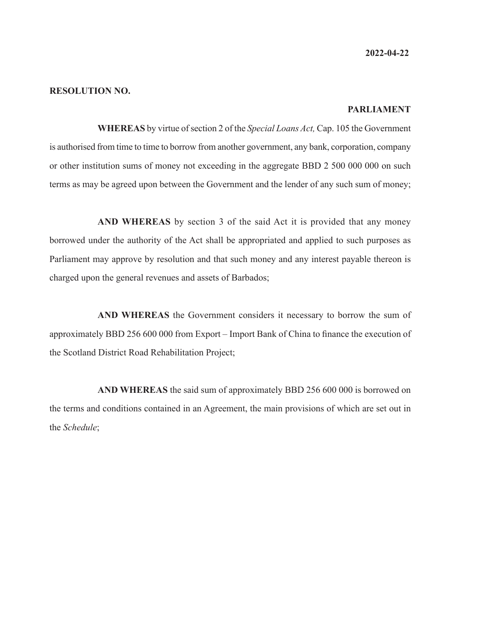**2022-04-22**

#### **RESOLUTION NO.**

#### **PARLIAMENT**

**WHEREAS** by virtue of section 2 of the *Special Loans Act,* Cap. 105 the Government is authorised from time to time to borrow from another government, any bank, corporation, company or other institution sums of money not exceeding in the aggregate BBD 2 500 000 000 on such terms as may be agreed upon between the Government and the lender of any such sum of money;

**AND WHEREAS** by section 3 of the said Act it is provided that any money borrowed under the authority of the Act shall be appropriated and applied to such purposes as Parliament may approve by resolution and that such money and any interest payable thereon is charged upon the general revenues and assets of Barbados;

**AND WHEREAS** the Government considers it necessary to borrow the sum of approximately BBD 256 600 000 from Export – Import Bank of China to finance the execution of the Scotland District Road Rehabilitation Project;

**AND WHEREAS** the said sum of approximately BBD 256 600 000 is borrowed on the terms and conditions contained in an Agreement, the main provisions of which are set out in the *Schedule*;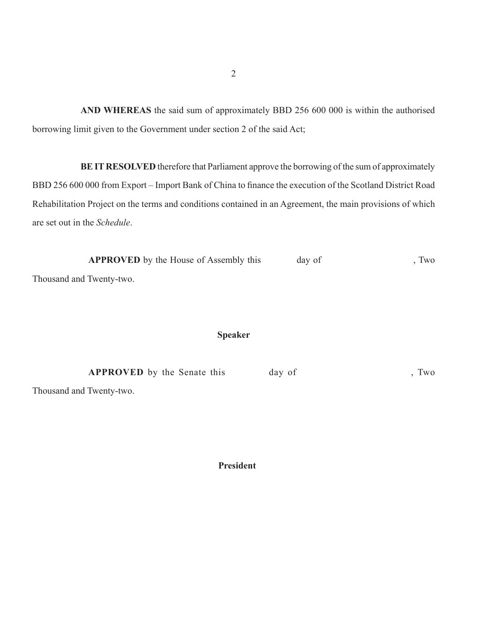**AND WHEREAS** the said sum of approximately BBD 256 600 000 is within the authorised borrowing limit given to the Government under section 2 of the said Act;

**BE IT RESOLVED** therefore that Parliament approve the borrowing of the sum of approximately BBD 256 600 000 from Export – Import Bank of China to finance the execution of the Scotland District Road Rehabilitation Project on the terms and conditions contained in an Agreement, the main provisions of which are set out in the *Schedule*.

| <b>APPROVED</b> by the House of Assembly this | day of | Two |
|-----------------------------------------------|--------|-----|
| Thousand and Twenty-two.                      |        |     |

### **Speaker**

| <b>APPROVED</b> by the Senate this | day of | Two |
|------------------------------------|--------|-----|
|                                    |        |     |

Thousand and Twenty-two.

 **President**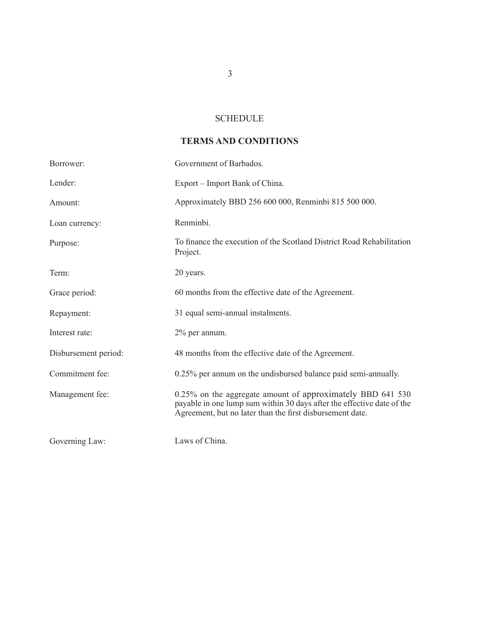## **SCHEDULE**

# **TERMS AND CONDITIONS**

| Borrower:            | Government of Barbados.                                                                                                                                                                           |
|----------------------|---------------------------------------------------------------------------------------------------------------------------------------------------------------------------------------------------|
| Lender:              | Export – Import Bank of China.                                                                                                                                                                    |
| Amount:              | Approximately BBD 256 600 000, Renminbi 815 500 000.                                                                                                                                              |
| Loan currency:       | Renminbi.                                                                                                                                                                                         |
| Purpose:             | To finance the execution of the Scotland District Road Rehabilitation<br>Project.                                                                                                                 |
| Term:                | 20 years.                                                                                                                                                                                         |
| Grace period:        | 60 months from the effective date of the Agreement.                                                                                                                                               |
| Repayment:           | 31 equal semi-annual instalments.                                                                                                                                                                 |
| Interest rate:       | $2\%$ per annum.                                                                                                                                                                                  |
| Disbursement period: | 48 months from the effective date of the Agreement.                                                                                                                                               |
| Commitment fee:      | 0.25% per annum on the undisbursed balance paid semi-annually.                                                                                                                                    |
| Management fee:      | 0.25% on the aggregate amount of approximately BBD 641 530<br>payable in one lump sum within 30 days after the effective date of the<br>Agreement, but no later than the first disbursement date. |
| Governing Law:       | Laws of China.                                                                                                                                                                                    |